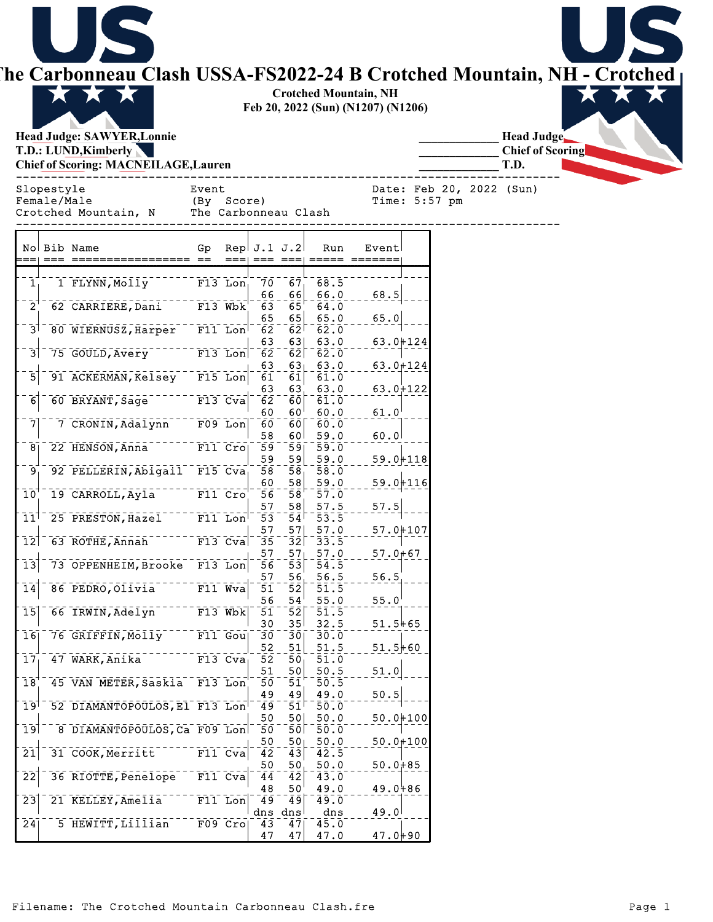|                             |                           | <b>Head Judge: SAWYER, Lonnie</b><br>T.D.: LUND, Kimberly<br><b>Chief of Scoring: MACNEILAGE, Lauren</b> |                                             |             |                        |                                               | <b>Crotched Mountain, NH</b> | Feb 20, 2022 (Sun) (N1207) (N1206) |  | <b>Head Judge</b><br><b>Chief of Scoring</b><br>T.D. |
|-----------------------------|---------------------------|----------------------------------------------------------------------------------------------------------|---------------------------------------------|-------------|------------------------|-----------------------------------------------|------------------------------|------------------------------------|--|------------------------------------------------------|
|                             | Slopestyle<br>Female/Male | Crotched Mountain, N                                                                                     | Event<br>(By Score)<br>The Carbonneau Clash |             |                        |                                               |                              | Time: 5:57 pm                      |  | Date: Feb 20, 2022 (Sun)                             |
|                             |                           | No Bib Name                                                                                              | Gp                                          |             | Rep $J.1 J.2$          |                                               | Run                          | <b>Event</b>                       |  |                                                      |
| $\bar{1}$                   |                           | 1 FLYNN, Molly                                                                                           |                                             | $F13$ Lon   | 70<br>66               | 67<br>66                                      | 68.5<br>66.0                 | 68.5                               |  |                                                      |
| $2^{\prime}$                |                           | 62 CARRIERE, Dani                                                                                        |                                             | $F13$ Wbk   | 63                     | $\bar{6}\bar{5}$                              | 64.0                         |                                    |  |                                                      |
| ا 3                         |                           | 80 WIERNUSZ, Harper                                                                                      |                                             | $F11$ Lon   | 65<br>$\bar{6}\bar{2}$ | 65<br>62 <sup>1</sup>                         | 65.0<br>62.0                 | 65.0                               |  |                                                      |
| 3                           |                           | 75 GOULD, Avery                                                                                          |                                             | $F13$ Lon   | 63<br>62               | 631<br>62                                     | 63.0<br>62.0                 | 63.0+124                           |  |                                                      |
| 5                           |                           | 91 ACKERMAN, Kelsey                                                                                      |                                             | $F15$ Lon   | 63<br>$\bar{6}\bar{1}$ | 63 <sub>1</sub><br>$\left  6\bar{1} \right $  | 63.0<br>61.0                 | $63.0 + 124$                       |  |                                                      |
| $\overline{6}$              |                           | 60 BRYANT, Sage                                                                                          |                                             | $F13$ Cva   | 63<br>$\bar{6}\bar{2}$ | 63<br>60                                      | 63.0<br>61.0                 | $63.0 + 122$                       |  |                                                      |
| 7                           |                           | 7 CRONIN, Adalynn                                                                                        |                                             | $F09$ Lon   | 60<br>60               | 60 <sup>1</sup><br>60 l                       | 60.0<br>60.0                 | 61.0                               |  |                                                      |
|                             |                           |                                                                                                          |                                             |             | 58                     | 60 I                                          | 59.0                         | 60.0                               |  |                                                      |
| 8                           |                           | 22 HENSON, Anna                                                                                          |                                             | $F11$ Cro   | 59<br>59               | $\overline{59}$<br>59                         | 59.0<br>59.0                 | $59.0 + 118$                       |  |                                                      |
| 9 <sub>1</sub>              |                           | 92 PELLERIN, Abigail F15 Cva                                                                             |                                             |             | 58<br>60               | $\overline{58}$<br>58                         | $\overline{58.0}$<br>59.0    | $59.0 + 116$                       |  |                                                      |
| $\overline{10}$             |                           | 19 CARROLL, Ayla                                                                                         |                                             | $F11$ $CrO$ | -56<br>57              | $\left\lceil 5 \bar{8} \right\rceil$<br>58    | 57.0<br>57.5                 | 57.5                               |  |                                                      |
| 11 <sup>1</sup>             |                           | 25 PRESTON, Hazel                                                                                        |                                             | $F11$ Lon   | -53                    | 54 <sup>1</sup>                               | 53.5                         |                                    |  |                                                      |
| $\overline{1}\overline{2}$  |                           | 63 ROTHE, Annah                                                                                          |                                             | $F13$ Cva   | 57<br>$\overline{35}$  | 57<br>32                                      | 57.0<br>33.5                 | $57.0 + 107$                       |  |                                                      |
| $\overline{1}3$             |                           | 73 OPPENHEIM, Brooke F13 Lon                                                                             |                                             |             | 57<br>-56              | 57<br>$\left\lceil 5\bar{3}\right\rceil$      | 57.0<br>54.5                 | $57.0 + 67$                        |  |                                                      |
| $\overline{1}\overline{4}$  |                           | 86 PEDRO, Olivia                                                                                         |                                             | $F11$ Wva   | 57<br>$\overline{51}$  | 56<br>$\overline{52}$                         | 56.5<br>51.5                 | 56.5                               |  |                                                      |
| $\overline{15}$             |                           | 66 IRWIN, Adelyn F13 Wbk                                                                                 |                                             |             | 56<br>$\overline{51}$  | 54'<br>$\overline{52}$                        | 55.0<br>51.5                 | $55.0^{\circ}$                     |  |                                                      |
|                             |                           | 76 GRIFFIN, Molly F11 Goul                                                                               |                                             |             | 30                     | 35 <sup>1</sup>                               | 32.5                         | $51.5 + 65$                        |  |                                                      |
| 16 <sub>1</sub>             |                           |                                                                                                          |                                             |             | $\bar{3}\bar{0}$<br>52 | ⊺3ōj<br>51                                    | 30.0<br>51.5                 | $51.5 + 60$                        |  |                                                      |
| 17 <sub>1</sub>             |                           | 47 WARK, Anika <sup>--</sup>                                                                             | $F13$ Cva                                   |             | $\overline{52}$<br>51  | $\overline{50}$<br>50                         | $\bar{5}\bar{1}$ .0<br>50.5  | 51.0                               |  |                                                      |
| $\overline{18}$             |                           | 45 VAN METER, Saskia F13 Lon                                                                             |                                             |             | $\overline{50}$<br>49  | $\overline{51}$<br>49                         | 50.5<br>49.0                 | 50.5                               |  |                                                      |
| 19 <sup>1</sup>             |                           | 52 DIAMANTOPOULOS, El F13 Lon                                                                            |                                             |             | - -49 -<br>50          | $\bar{5}\bar{1}$ $\bar{1}$<br>50              | 50.0<br>50.0                 | $50.0 + 100$                       |  |                                                      |
| 19                          |                           | 8 DIAMANTOPOULOS, Ca F09 Lon                                                                             |                                             |             | 50                     | $\overline{50}$                               | 50.0                         |                                    |  |                                                      |
| $\overline{21}$             |                           | 31 COOK, Merritt                                                                                         |                                             | $F11$ Cva   | 50<br>$\overline{42}$  | 50 <sub>1</sub><br>$\left 4\bar{3}\right $    | 50.0<br>42.5                 | $50.0 + 100$                       |  |                                                      |
| $\overline{2}\overline{2}$  |                           | 36 RIOTTE, Penelope                                                                                      |                                             | $F11$ Cva   | 50<br>44               | 50 <sub>1</sub><br>$\overline{4}\overline{2}$ | 50.0<br>43.0                 | $50.0 + 85$                        |  |                                                      |
| $\overline{2}3\overline{1}$ |                           | 21 KELLEY, Amelia                                                                                        |                                             | $F11$ Lon   | 48<br>49               | 50 <sup>1</sup><br>49                         | 49.0<br>49.0                 | $49.0 + 86$                        |  |                                                      |
|                             |                           |                                                                                                          |                                             |             | dns dns                |                                               | dns                          | 49.0                               |  |                                                      |
| $\overline{24}$             |                           | 5 HEWITT, Lillian                                                                                        |                                             | $F09$ Cro   | 43<br>47               | 47 <br>47                                     | 45.0<br>47.0                 | $47.0 + 90$                        |  |                                                      |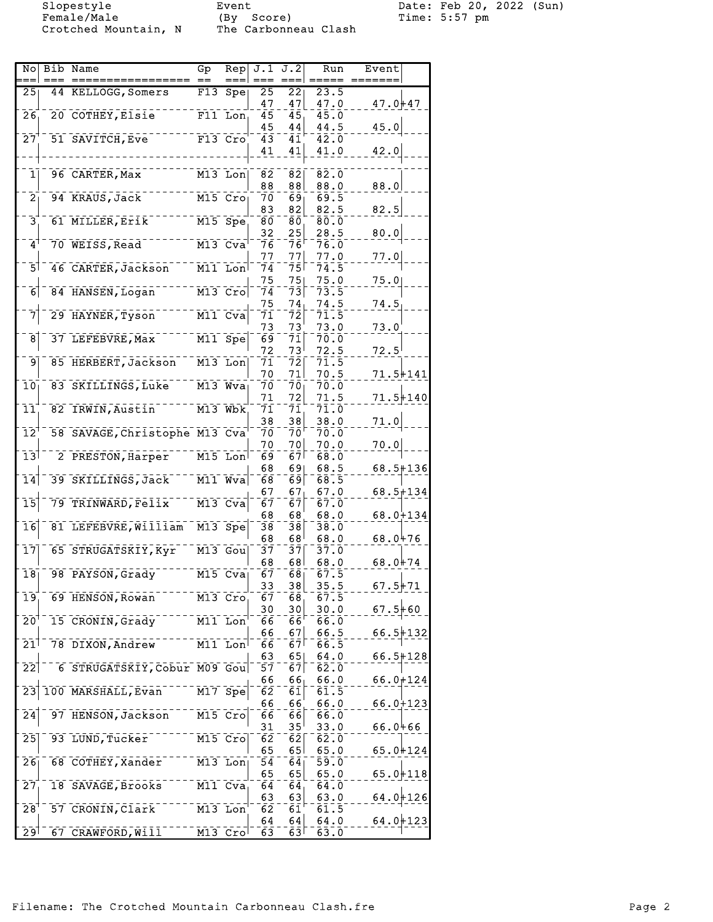Slopestyle Event Event Date: Feb 20, 2022 (Sun)<br>Female/Male (By Score) Time: 5:57 pm Female/Male (By Score) Time: 5:57 pm

Crotched Mountain, N The Carbonneau Clash

| No                             |    | Bib Name                      | GP                   | Rep                  | J.1              | J.2          | Run                   | Event          |  |
|--------------------------------|----|-------------------------------|----------------------|----------------------|------------------|--------------|-----------------------|----------------|--|
|                                |    |                               |                      |                      |                  |              |                       |                |  |
| 25                             | 44 | KELLOGG, Somers               | F13                  | Spe                  | $\overline{25}$  | 22           | 23.5                  |                |  |
|                                |    |                               |                      |                      | 47               | 47           | 47.0                  | $47.0 + 47$    |  |
| 26                             |    | 20 COTHEY, Elsie              |                      | $F11$ Lon            | 45               | 45           | 45.0                  |                |  |
|                                |    |                               |                      |                      | 45               | 44           | 44.5                  | 45.0           |  |
| $\bar{2}\bar{7}$               |    | 51 SAVITCH, Eve               |                      | $F13$ $CrO$          | 43               | 41           | $\bar{4}\bar{2}$ .0   |                |  |
|                                |    |                               |                      |                      | 41               | 41           | 41.0                  | 42.0           |  |
| 1                              |    | 96 CARTER, Max                |                      | M13 Lon              | 82               | 82           | 82.0                  |                |  |
|                                |    |                               |                      |                      | 88               | 88           | 88.0                  | 88.0           |  |
| $\bar{2}$                      |    | 94 KRAUS, Jack                |                      | $M15$ $CrO$          | 70               | 69           | 69.5                  |                |  |
|                                |    |                               |                      |                      |                  | 82           |                       | 82.5           |  |
| 3                              |    | 61 MILLER, Erik               |                      | $M15$ Spe            | 83<br>80         | 80           | 82.5<br>80.0          |                |  |
|                                |    |                               |                      |                      | 32               | 25           | 28.5                  |                |  |
| 4                              |    | 70 WEISS, Read                |                      | $M13$ Cva            | 76               | 76           | 76.0                  | 80.0           |  |
|                                |    |                               |                      |                      | 77               | 77           |                       |                |  |
| $\overline{5}$                 |    | 46 CARTER, Jackson            |                      | $M11$ Lon            | 74               | 75I          | 77.0<br>74.5          | 77.0           |  |
|                                |    |                               |                      |                      | 75               |              |                       |                |  |
| $\overline{6}$                 |    | 84 HANSEN, Logan              |                      | $M13$ $Cro$          | 74               | 75<br>73     | 75.0<br>73.5          | 75.0           |  |
|                                |    |                               |                      |                      | 75               | 74           | 74.5                  | 74.5           |  |
| 7                              |    | 29 HAYNER, Tyson              |                      | $M11$ Cva            | 71               | Ī2           | $7\bar{1}\,.\,5$      |                |  |
|                                |    |                               |                      |                      | 73               |              |                       |                |  |
| $\bar{8}$                      |    |                               |                      | $M11$ Spe            | 69               | 73<br>71     | 73.0<br>70.0          | 73.0           |  |
|                                |    | 37 LEFEBVRE, Max              |                      |                      | 72               | 73           |                       |                |  |
| 9                              |    |                               |                      |                      |                  |              | 72.5                  | $72.5^{\circ}$ |  |
|                                |    | 85 HERBERT, Jackson           |                      | M13 Lon              | 71               | 72           | 71.5                  |                |  |
|                                |    |                               |                      |                      | 70               | 71           | 70.5                  | $71.5 + 141$   |  |
| 10                             |    | 83 SKILLINGS, Luke            |                      | $M13$ Wva            | 7ō               | 70           | 70.0                  |                |  |
|                                |    |                               |                      |                      | 71               | 72           | 71.5                  | $71.5 + 140$   |  |
| 11                             |    | 82 IRWIN, Austin              |                      | $M13$ Wbk            | 71               | 71           | 71.0                  |                |  |
|                                |    |                               |                      |                      | 38               | 38           | 38.0                  | 71.0           |  |
| $\overline{1}\overline{2}$     |    | 58 SAVAGE, Christophe M13 Cva |                      |                      | 70               | 70           | 70.0                  |                |  |
|                                |    |                               |                      |                      | 70               | 70           | 70.0                  | 70.0           |  |
| $\overline{13}$                |    | 2 PRESTON, Harper             |                      | $M15$ Lon            | 69               | 67           | $\bar{0}$ . $\bar{8}$ |                |  |
|                                |    |                               |                      |                      | 68               | 69           | 68.5                  | 68.5+136       |  |
| $\overline{1}\overline{4}$     |    | 39 SKILLINGS, Jack            |                      | $M11$ Wva            | 68               | 691          | 68.5                  |                |  |
|                                |    |                               |                      |                      | 67               | 67           | 67.0                  | $68.5 + 134$   |  |
| $\overline{1}\overline{5}$     |    | 79 TRINWARD, Felix            |                      | $M13$ Cva            | 67               | 67           | 67.0                  |                |  |
|                                |    |                               |                      |                      | 68               | 68           | 68.0                  | 68.0+134       |  |
| $\overline{16}$                |    | 81 LEFEBVRE, William          |                      | $\overline{M13}$ Spe | 38               | 3ē           | 38.0                  |                |  |
|                                |    |                               |                      |                      | 68               | 68           | 68.0                  | 68.0476        |  |
| $\overline{17}$                |    | 65 STRUGATSKIY, Kyr           |                      | M13 Gou              | 37               | 37           | 37.0                  |                |  |
|                                |    |                               |                      |                      | 68               | 68           | 68.0                  | 68.0+74        |  |
| $\overline{18}$                |    | 98 PAYSON, Grady              |                      | $M15$ Cva            | 67               | 68           | 67.5                  |                |  |
|                                |    |                               |                      |                      | 33               | 38           | 35.5                  | $67.5 + 71$    |  |
| $\bar{1}\bar{9}$               |    | 69 HENSON, Rowan              |                      | M13 Cro              | 67               | 68           | 67.5                  |                |  |
|                                |    |                               |                      |                      | $30\,$           | 30           | 30.0                  | $67.5 + 60$    |  |
| $20^{\circ}$                   |    | 15 CRONIN, Grady              | $\overline{M11}$ Lon |                      | 66               | 66           | 66.0                  |                |  |
|                                |    |                               |                      |                      | 66               | 67           | 66.5                  | $66.5 + 132$   |  |
| 21                             |    | 78 DIXON, Andrew              |                      | $M11$ Lon            | 66               | 671          | 66.5                  |                |  |
|                                |    |                               |                      |                      | 63               | 651          | 64.0                  | $66.5 + 128$   |  |
| $\overline{2}\overline{2}$     |    | 6 STRUGATSKIY, Cobur M09 Gou  |                      |                      | 57               | $ 6\bar{7} $ | 62.0                  |                |  |
|                                |    |                               |                      |                      | 66               | 66           | 66.0                  | $66.0 + 124$   |  |
| $\bar{2}\bar{3}$               |    | 100 MARSHALL, Evan            |                      | $\overline{M17}$ Spe | 62               | 61           | 61.5                  |                |  |
|                                |    |                               |                      |                      | 66               | 66           | 66.0                  | $66.0 + 123$   |  |
| 24                             |    | 97 HENSON, Jackson            | $-M15$ Cro           |                      | $\bar{6}\bar{6}$ | 66           | 66.0                  |                |  |
|                                |    |                               |                      |                      | 31               | $35^{\circ}$ | 33.0                  | 66.0466        |  |
| $\overline{25}$                |    | 93 LUND, Tucker               |                      | $M15$ $Cro$          | $\bar{6}\bar{2}$ | 62           | 62.0                  |                |  |
|                                |    |                               |                      |                      | 65               | 65           | 65.0                  | 65.0+124       |  |
| $\overline{26}$                |    | 68 COTHEY, Xander             |                      | $M13$ Lon            | $\bar{54}$       | 64           | 59.0                  |                |  |
|                                |    |                               |                      |                      | 65               | 65           | 65.0                  | $65.0 + 118$   |  |
| $\overline{27}$                |    | 18 SAVAGE, Brooks             |                      | $M11$ Cva            | $\bar{64}$       | 64           | 64.0                  |                |  |
|                                |    |                               |                      |                      | 63               | 63           | 63.0                  | $64.0 + 126$   |  |
| $28$ <sup><math>+</math></sup> |    | 57 CRONIN, Clark              |                      | M13 Lon              | 62               | 61           | 61.5                  |                |  |
|                                |    |                               |                      |                      | 64               | 64           | 64.0                  | $64.0 + 123$   |  |
| 29                             |    | 67 CRAWFORD, WIII             |                      | $M13$ $CrO$          | $\bar{6}\bar{3}$ | $\bar{6}3$   | 63.0                  |                |  |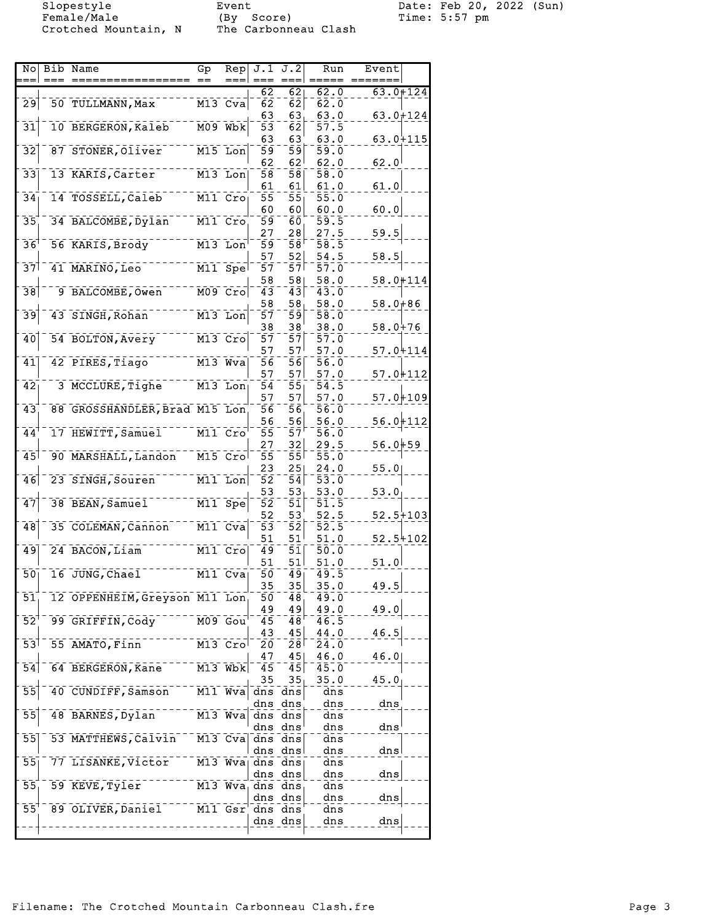Slopestyle Event Event Date: Feb 20, 2022 (Sun)<br>Female/Male (By Score) Time: 5:57 pm Female/Male (By Score) Time: 5:57 pm Crotched Mountain, N The Carbonneau Clash

| Nol                          | Bib Name                         | Gр                        | Rep                                |                        | J.1 J.2               | Run                            | Event        |
|------------------------------|----------------------------------|---------------------------|------------------------------------|------------------------|-----------------------|--------------------------------|--------------|
|                              |                                  |                           |                                    |                        |                       |                                | $63.0 + 124$ |
| $\overline{29}$              | 50 TULLMANN, Max                 |                           | $M13$ Cva                          | 62<br>$\bar{6}\bar{2}$ | 62।<br>$ \bar{6}2 $   | 62.0<br>62.0                   |              |
|                              |                                  |                           |                                    | 63                     | 63                    | 63.0                           | $63.0 + 124$ |
| $\overline{31}$              | 10 BERGERON, Kaleb               |                           | $M09$ $WbK$                        | $\bar{5}\bar{3}$       | 62                    | 57.5                           |              |
|                              |                                  |                           |                                    | 63                     | 63                    | 63.0                           | $63.0 + 115$ |
| $\overline{32}$              | 87 STONER, Oliver                |                           | $M15$ Lon                          | 59                     | $\bar{5}\bar{9}$      | 59.0                           |              |
|                              |                                  |                           |                                    | 62                     | 62                    | 62.0                           | 62.0         |
| 33                           | 13 KARIS, Carter                 |                           | $M13$ Lon                          | 58                     | 58                    | 58.0                           |              |
|                              |                                  |                           |                                    | 61                     | 61                    | 61.0                           | 61.0         |
| 34                           | 14 TOSSELL, Caleb <sup>---</sup> |                           | $\overline{M11}$ $\overline{C}$ ro | $\overline{55}$        | 55                    | 55.0                           |              |
| $\overline{35}$              | 34 BALCOMBE, Dylan               | $\overline{M11}$ Cro      |                                    | 60<br>$\bar{5}\bar{9}$ | 60                    | 60.0<br>59.5                   | 60.0         |
|                              |                                  |                           |                                    | 27                     | 60<br>28              | 27.5                           | 59.5         |
| $36^1$                       | 56 KARIS, Brody                  | M13 Lon                   |                                    | 59                     | $\bar{5}\bar{8}$      | 58.5                           |              |
|                              |                                  |                           |                                    | 57                     | 52                    | 54.5                           | 58.5         |
| $\overline{37}$              | 41 MARINO, Leo                   |                           | $M11$ Spe                          | 57                     | 57I                   | 57.0                           |              |
|                              |                                  |                           |                                    | 58                     | 58                    | 58.0                           | $58.0 + 114$ |
| 38                           | 9 BALCOMBE, Owen                 |                           | $M09$ $Cro$                        | 43                     | 43                    | 43.0                           |              |
|                              |                                  |                           |                                    | 58                     | 58                    | 58.0                           | $58.0 + 86$  |
| 39                           | 43 SINGH, Rohan                  |                           | $M13$ Lon                          | 57                     | 59                    | 58.0                           |              |
|                              |                                  |                           |                                    | 38                     | 38                    | 38.0                           | 58.0+76      |
| 40                           | 54 BOLTON, Avery                 |                           | $M13$ $Cro$                        | 57                     | 57                    | 57.0                           |              |
| 41                           | 42 PIRES, Tiago                  |                           | $M13$ Wva                          | 57<br>56               | 57 <sup>1</sup><br>56 | 57.0<br>56.0                   | 57.04114     |
|                              |                                  |                           |                                    | 57                     | 57                    | 57.0                           | $57.0 + 112$ |
| $\overline{4}\overline{2}$   | 3 MCCLURE, Tighe                 |                           | $M13$ Lon                          | 54                     | 55                    | 54.5                           |              |
|                              |                                  |                           |                                    | 57                     | 57                    | 57.0                           | $57.0 + 109$ |
| $\overline{43}$              | 88 GROSSHANDLER, Brad M15 Lon    |                           |                                    | 56                     | 5ō                    | 56.0                           |              |
|                              |                                  |                           |                                    | 56                     | 56                    | 56.0                           | $56.0 + 112$ |
| 44                           | 17 HEWITT, Samuel                | M11 Cro                   |                                    | 55                     | 57                    | 56.0                           |              |
|                              |                                  |                           |                                    | 27                     | 32                    | 29.5                           | $56.0 + 59$  |
| 45                           | 90 MARSHALL, Landon              |                           | $M15$ $Cro$                        | 55                     | 551                   | 55.0                           |              |
|                              |                                  |                           |                                    | 23                     | 25                    | 24.0                           | 55.0         |
| 46                           | 23 SINGH, Souren                 |                           | $M11$ Lon                          | $\bar{5}\bar{2}$       | 54                    | 53.0                           |              |
| $\overline{47}$              | 38 BEAN, Samuel                  |                           | $M11$ Spe                          | 53<br>$\bar{5}\bar{2}$ | 53<br>5ī              | 53.0<br>51.5                   | 53.0         |
|                              |                                  |                           |                                    | 52                     | 53                    | 52.5                           | $52.5 + 103$ |
| 48                           | 35 COLEMAN, Cannon               |                           | $\overline{M11}$ Cva               | $\bar{5}\bar{3}$       | 52                    | $\bar{5}\bar{2}\bar{.}\bar{5}$ |              |
|                              |                                  |                           |                                    | 51                     | 51                    | 51.0                           | $52.5 + 102$ |
| 49                           | 24 BACON, Liam                   |                           | $\overline{M11}$ $\overline{C}$ ro | 49                     | 5ī                    | 50.0                           |              |
|                              |                                  |                           |                                    | 51                     | 51                    | 51.0                           | 51.0         |
| $\overline{50}$              | 16 JUNG, Chael                   |                           | $M11$ Cva                          | 50                     | 49                    | 49.5                           |              |
|                              |                                  |                           |                                    | 35                     | 35L                   | 35.0                           | 49.5         |
| 51                           | 12 OPPENHEIM, Greyson M11 Lon    |                           |                                    | 50                     | 48,<br>49             | 49.0                           |              |
| $\overline{52}$ <sup>1</sup> | 99 GRIFFIN, Cody                 | $- -  \overline{M09}$ Gou |                                    | 49<br>$\overline{45}$  | 48 <sup>1</sup>       | 49.0<br>46.5                   | 49.0         |
|                              |                                  |                           |                                    | 43                     | 45                    | 44.0                           | 46.5         |
| 53                           | 55 AMATO, Finn                   |                           | $M13$ $CrO$                        | 20                     | 28                    | 24.0                           |              |
|                              |                                  |                           |                                    | 47                     | 45                    | 46.0                           | 46.0         |
| 54                           | 64 BERGERON, Kane                | $\overline{M13}$ Wbk      |                                    | 45                     | 45                    | 45.0                           |              |
|                              |                                  |                           |                                    | 35                     | 35                    | 35.0                           | 45.0         |
| $\overline{55}$              | 40 CUNDIFF, Samson               | -- M11 Wva                |                                    | dns                    | dns                   | dns                            |              |
|                              |                                  |                           |                                    |                        | dns dns.              | dns                            | dns          |
| $\overline{55}$              | 48 BARNES, Dylan                 | $\overline{M13}$ Wva      |                                    |                        | dns dns               | dns                            |              |
| 55                           | 53 MATTHEWS, Calvin M13 Cva      |                           |                                    |                        | dns dns'<br>dns dns   | dns<br>dns                     | dns          |
|                              |                                  |                           |                                    |                        | dns dns               | dns                            | dns          |
| $\overline{55}$              | 77 LISANKE, Victor               |                           | $M13$ Wva                          |                        | dns dns               | dns                            |              |
|                              |                                  |                           |                                    |                        | dns dns               | dns                            | dns          |
| $55^{-}$                     | 59 KEVE, Tyler                   |                           | $M13$ $Wva$                        |                        | dns dns               | dns                            |              |
|                              |                                  |                           |                                    |                        | dns dns               | dns                            | dns          |
| 55 <sup>1</sup>              | 89 OLIVER, Daniel M11 Gsr        |                           |                                    |                        | dns dns               | dns                            |              |
|                              |                                  |                           |                                    |                        | dns dns               | dns                            | dns          |
|                              |                                  |                           |                                    |                        |                       |                                |              |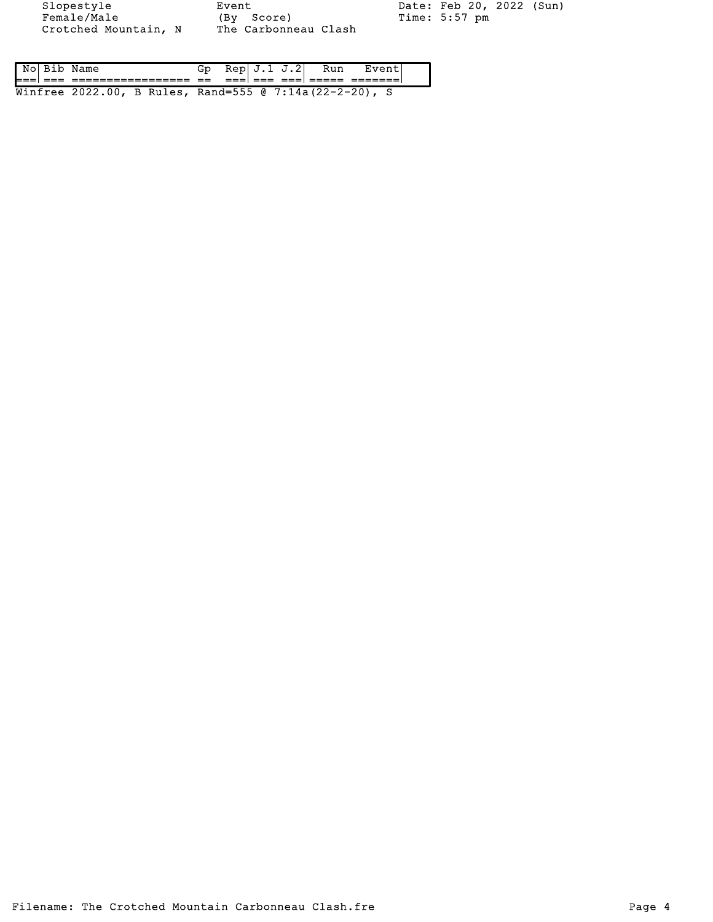| Slopestyle           | Event                | Date: Feb 20, 2022 (Sun) |  |
|----------------------|----------------------|--------------------------|--|
| Female/Male          | (By Score)           | Time: 5:57 pm            |  |
| Crotched Mountain, N | The Carbonneau Clash |                          |  |

| l No |       | name                                        |           | kep⊦       |       |     |  |  |
|------|-------|---------------------------------------------|-----------|------------|-------|-----|--|--|
| i=== |       |                                             | __<br>$-$ | ___<br>___ | $- -$ | ___ |  |  |
| Wir  | ntree | 2022.00, B Rules, Rand=555 @ 7:14a(22-2-20) |           |            |       |     |  |  |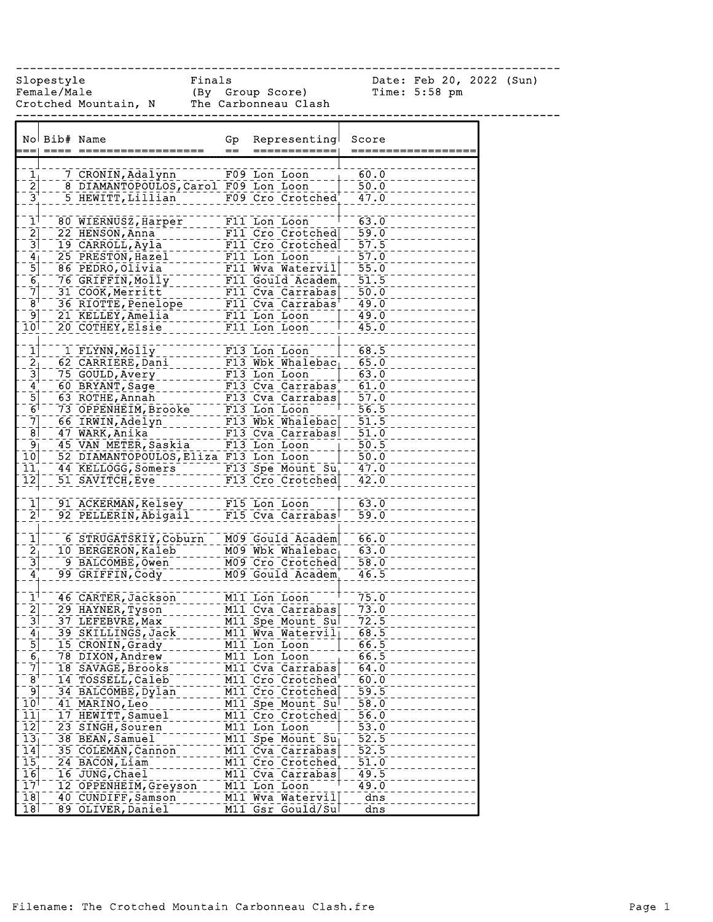|                                                                       | Slopestyle<br>Female/Male | Crotched Mountain, N                                                                                                                     | Finals<br>(By Group Score)<br>The Carbonneau Clash |              |                                                                |                              | Date: Feb 20, 2022 (Sun)<br>Time: 5:58 pm |  |
|-----------------------------------------------------------------------|---------------------------|------------------------------------------------------------------------------------------------------------------------------------------|----------------------------------------------------|--------------|----------------------------------------------------------------|------------------------------|-------------------------------------------|--|
|                                                                       |                           |                                                                                                                                          |                                                    |              |                                                                |                              |                                           |  |
|                                                                       | No Bib# Name              |                                                                                                                                          | Gp                                                 |              | Representing                                                   | Score                        |                                           |  |
|                                                                       |                           |                                                                                                                                          |                                                    |              |                                                                |                              |                                           |  |
| $1_{\perp}$                                                           |                           | 7 CRONIN, Adalynn                                                                                                                        | _______F09_Lon_Loon                                |              |                                                                | 60.0                         |                                           |  |
| $\frac{2}{3}$                                                         |                           | 8 DIAMANTOPOULOS, Carol F09 Lon Loon                                                                                                     |                                                    |              |                                                                | 50.0                         |                                           |  |
|                                                                       |                           | $5$ $H$ EWITT, Lillian                                                                                                                   |                                                    |              | F09 Cro Crotched                                               | 47.0                         |                                           |  |
|                                                                       |                           |                                                                                                                                          |                                                    |              |                                                                |                              |                                           |  |
| 1 <sup>1</sup><br>$\overline{2}$                                      |                           | 80 WIERNUSZ, Harper<br>22 HENSON, Anna                                                                                                   | F11 Lon Loon                                       |              | F11 Cro Crotched                                               | 63.0<br>59.0                 |                                           |  |
| $\overline{\mathsf{3}}$                                               |                           | 19 CARROLL, Ayla                                                                                                                         |                                                    |              | FII Cro Crotched                                               | 57.5                         |                                           |  |
|                                                                       |                           | 25 PRESTON, Hazel F11 Lon Loon                                                                                                           |                                                    |              |                                                                | 57.0                         |                                           |  |
| $\frac{4}{8}$ $\frac{1}{8}$ $\frac{1}{8}$ $\frac{1}{8}$ $\frac{1}{8}$ |                           |                                                                                                                                          |                                                    |              |                                                                | $\overline{55.0}$            |                                           |  |
|                                                                       |                           |                                                                                                                                          |                                                    |              |                                                                | $\overline{51.5}$            |                                           |  |
|                                                                       |                           | 31 COOK, Merritt                                                                                                                         |                                                    |              | FII Cva Carrabas<br>-----FII Cva Carrabas<br>-----FII Lon Loon | 50.0                         |                                           |  |
|                                                                       |                           | 36 RIOTTE, Penelope                                                                                                                      |                                                    |              |                                                                | 49.0                         |                                           |  |
| $\overline{9}$                                                        |                           | 21 KELLEY, Amelia                                                                                                                        |                                                    |              |                                                                | 49.0                         |                                           |  |
| $\bar{1}\bar{0}$                                                      |                           | 20 COTHEY, Elsie                                                                                                                         |                                                    |              | F11 Lon Loon                                                   | 45.0                         |                                           |  |
|                                                                       |                           | 1 FLYNN, Molly                                                                                                                           |                                                    |              | $F13$ Lon Loon                                                 | 68.5                         |                                           |  |
|                                                                       |                           | 62 CARRIERE, Dani F13 Wbk Whalebac <sub>1</sub>                                                                                          |                                                    |              |                                                                | 65.0                         |                                           |  |
|                                                                       |                           |                                                                                                                                          |                                                    |              |                                                                | 63.0                         |                                           |  |
| $\frac{1}{2}$ $\frac{2}{3}$ $\frac{3}{4}$                             |                           | 75 GOULD, Avery 1999 1999 13 Lon Loon 1999  <br>60 BRYANT, Sage 1999 13 Cya Carrabas, 1999<br>63 ROTHE 1999   1999   1999 1999 1999 1999 |                                                    |              |                                                                | 61.0                         |                                           |  |
| $rac{5}{6}$                                                           |                           | 63 ROTHE, Annah                                                                                                                          |                                                    |              | F13 Cva Carrabas                                               | 57.0<br>$\ddot{\phantom{0}}$ |                                           |  |
|                                                                       |                           | vs OPPENHEIM, Brooke -----F13 Lon Loon<br>66 IRWIN, Adelyn --------F13 Wbk Whalebac<br>47 WARK, Anika                                    |                                                    |              |                                                                | $\overline{56.5}$            |                                           |  |
| $\bar{7}$                                                             |                           |                                                                                                                                          |                                                    |              |                                                                | 51.5                         |                                           |  |
| $\overline{8}$                                                        |                           | 47 WARK, Anika                                                                                                                           |                                                    |              | F13 Cva Carrabas                                               | 51.0                         |                                           |  |
| $\begin{bmatrix} -5 \ 10 \end{bmatrix}$                               |                           | 45 VAN METER, Saskia<br>52 DIAMANTOPOULOS, Eliza F13 Lon Loon                                                                            |                                                    |              | F13 Lon Loon                                                   | 50.5<br>$\bar{50.0}$         |                                           |  |
| 11                                                                    |                           | 44 KELLOGG, Somers                                                                                                                       |                                                    |              | ____F13 Spe Mount Su <sub>i</sub> __                           | 47.0                         |                                           |  |
| $\overline{12}$                                                       |                           | 51 SAVITCH, Eve                                                                                                                          |                                                    |              | F13 Cro Crotched                                               | 42.0                         |                                           |  |
|                                                                       |                           |                                                                                                                                          |                                                    |              |                                                                |                              |                                           |  |
| $\frac{1}{2}$                                                         |                           | 91 ACKERMAN, Kelsey                                                                                                                      |                                                    |              | F15 Lon Loon                                                   | 63.0                         |                                           |  |
|                                                                       |                           | 92 PELLERIN, Abigail                                                                                                                     |                                                    |              | F15 Cva Carrabas                                               | $\overline{59.0}$            |                                           |  |
|                                                                       |                           |                                                                                                                                          |                                                    |              |                                                                | 66.0                         |                                           |  |
|                                                                       |                           | 6 STRUGATSKIY, Coburn M09 Gould Academ<br>10 BERGERON, Kaleb                                                                             |                                                    |              | M09 Wbk Whalebac                                               | 63.0                         |                                           |  |
|                                                                       |                           | 9 BALCOMBE, Owen                                                                                                                         |                                                    |              | M09 Cro Crotched                                               | 58.0                         |                                           |  |
| $\frac{1}{2}$ $\frac{2}{3}$ $\frac{3}{4}$ $\frac{1}{4}$               |                           | 99 GRIFFIN, Cody                                                                                                                         |                                                    |              | M09 Gould Academ                                               | 46.5                         |                                           |  |
|                                                                       |                           |                                                                                                                                          |                                                    |              |                                                                |                              |                                           |  |
| $\mathbf{1}^\dagger$                                                  |                           | 46 CARTER, Jackson                                                                                                                       |                                                    |              | M11 Lon Loon                                                   | 75.0                         |                                           |  |
| $\overline{2}$                                                        |                           | 29 HAYNER, Tyson                                                                                                                         |                                                    |              | M11 Cva Carrabas                                               | 73.0                         |                                           |  |
| $\bar{3}$                                                             |                           | 37 LEFEBVRE, Max                                                                                                                         |                                                    |              | M11 Spe Mount Su                                               | 72.5                         |                                           |  |
| $\overline{\mathbf{4}}$                                               |                           | 39 SKILLINGS, Jack                                                                                                                       |                                                    |              | M11 Wva Watervil                                               | 68.5                         |                                           |  |
| $\overline{5}$<br>$\overline{6}$                                      |                           | 15 CRONIN, Grady<br>78 DIXON, Andrew                                                                                                     |                                                    | M11 Lon Loon | M11 Lon Loon                                                   | 66.5<br>66.5                 |                                           |  |
| $\overline{7}$                                                        |                           | 18 SAVAGE, Brooks                                                                                                                        |                                                    |              | M11 Cva Carrabas                                               | 64.0                         |                                           |  |
| $\mathsf{B}^+$                                                        |                           | 14 TOSSELL, Caleb                                                                                                                        |                                                    |              | M11 Cro Crotched                                               | 60.0                         |                                           |  |
| $\overline{9}$                                                        |                           | 34 BALCOMBE, Dylan                                                                                                                       |                                                    |              | M11 Cro Crotched                                               | 59.5                         |                                           |  |
| $\overline{10}$                                                       |                           | 41 MARINO, Leo                                                                                                                           |                                                    |              | M11 Spe Mount Su                                               | 58.0                         |                                           |  |
| 11                                                                    |                           | 17 HEWITT, Samuel                                                                                                                        |                                                    |              | M11 Cro Crotched                                               | 56.0                         |                                           |  |
| 12                                                                    |                           | 23 SINGH, Souren                                                                                                                         |                                                    | M11 Lon Loon |                                                                | 53.0                         |                                           |  |
| $\overline{13}$                                                       |                           | 38 BEAN, Samuel                                                                                                                          |                                                    |              | M11 Spe Mount Su                                               | 52.5                         |                                           |  |
| 14<br>$\overline{15}$                                                 |                           | 35 COLEMAN, Cannon                                                                                                                       |                                                    |              | M11 Cva Carrabas                                               | $\overline{52.5}$            |                                           |  |
| 16                                                                    |                           | 24 BACON, Liam<br>16 JUNG, Chael                                                                                                         |                                                    |              | M11 Cro Crotched<br>M11 Cva Carrabas                           | 51.0<br>49.5                 |                                           |  |
| 17                                                                    |                           | 12 OPPENHEIM, Greyson                                                                                                                    |                                                    |              | M11 Lon Loon                                                   | 49.0                         |                                           |  |
| $\overline{18}$                                                       |                           | 40 CUNDIFF, Samson                                                                                                                       |                                                    |              | M11 Wva Watervil                                               | dns                          |                                           |  |
| 18                                                                    |                           | 89 OLIVER, Daniel                                                                                                                        |                                                    |              | M11 Gsr Gould/Su                                               | dns                          |                                           |  |

------------------------------------------------------------------------------